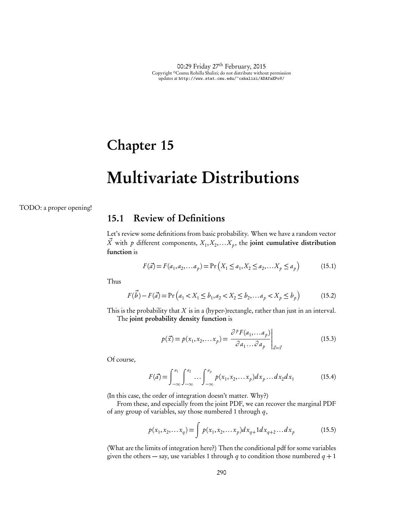## Chapter 15

# Multivariate Distributions

TODO: a proper opening!

## 15.1 Review of Definitions

Let's review some definitions from basic probability. When we have a random vector  $\overrightarrow{X}$  with  $p$  different components,  $X_1, X_2, \ldots, X_p$ , the joint cumulative distribution function is

$$
F(\vec{a}) = F(a_1, a_2, \dots, a_p) = \Pr\left(X_1 \le a_1, X_2 \le a_2, \dots, X_p \le a_p\right) \tag{15.1}
$$

Thus

$$
F(\vec{b}) - F(\vec{a}) = \Pr\left(a_1 < X_1 \le b_1, a_2 < X_2 \le b_2, \dots a_p < X_p \le b_p\right) \tag{15.2}
$$

This is the probability that *X* is in a (hyper-)rectangle, rather than just in an interval. The joint probability density function is

$$
p(\vec{x}) = p(x_1, x_2, \dots, x_p) = \frac{\partial^p F(a_1, \dots, a_p)}{\partial a_1 \dots \partial a_p} \bigg|_{\vec{a} = \vec{x}}
$$
\n(15.3)

Of course,

$$
F(\vec{a}) = \int_{-\infty}^{a_1} \int_{-\infty}^{a_2} \dots \int_{-\infty}^{a_p} p(x_1, x_2, \dots x_p) dx_p \dots dx_2 dx_1 \tag{15.4}
$$

(In this case, the order of integration doesn't matter. Why?)

From these, and especially from the joint PDF, we can recover the marginal PDF of any group of variables, say those numbered 1 through *q*,

$$
p(x_1, x_2,... x_q) = \int p(x_1, x_2,... x_p) dx_{q+1} dx_{q+2}... dx_p
$$
 (15.5)

(What are the limits of integration here?) Then the conditional pdf for some variables given the others — say, use variables 1 through  $q$  to condition those numbered  $q + 1$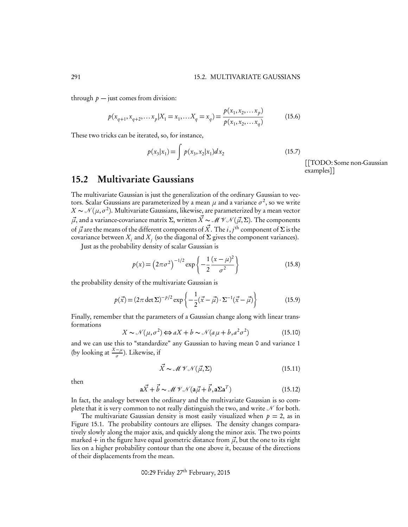through  $p$  — just comes from division:

$$
p(x_{q+1}, x_{q+2}, \dots x_p | X_1 = x_1, \dots X_q = x_q) = \frac{p(x_1, x_2, \dots x_p)}{p(x_1, x_2, \dots x_q)}
$$
(15.6)

These two tricks can be iterated, so, for instance,

$$
p(x_3|x_1) = \int p(x_3, x_2|x_1) dx_2
$$
 (15.7)

[[TODO: Some non-Gaussian examples]]

#### 15.2 Multivariate Gaussians

The multivariate Gaussian is just the generalization of the ordinary Gaussian to vectors. Scalar Gaussians are parameterized by a mean  $\mu$  and a variance  $\sigma^2$ , so we write  $X \sim \mathcal{N}(\mu, \sigma^2)$ . Multivariate Gaussians, likewise, are parameterized by a mean vector  $\vec{\mu}$ , and a variance-covariance matrix  $\Sigma$ , written  $\vec{X} \sim \mathcal{MVN}(\vec{\mu}, \Sigma)$ . The components of  $\vec{\mu}$  are the means of the different components of  $\vec{X}.$  The  $i,j^{\text{th}}$  component of  $\Sigma$  is the covariance between  $X_i$  and  $X_j$  (so the diagonal of  $\Sigma$  gives the component variances).

Just as the probability density of scalar Gaussian is

$$
p(x) = (2\pi\sigma^2)^{-1/2} \exp\left\{-\frac{1}{2}\frac{(x-\mu)^2}{\sigma^2}\right\}
$$
 (15.8)

the probability density of the multivariate Gaussian is

$$
p(\vec{x}) = (2\pi \det \Sigma)^{-p/2} \exp\left\{-\frac{1}{2}(\vec{x} - \vec{\mu}) \cdot \Sigma^{-1}(\vec{x} - \vec{\mu})\right\}
$$
(15.9)

Finally, remember that the parameters of a Gaussian change along with linear transformations

$$
X \sim \mathcal{N}(\mu, \sigma^2) \Longleftrightarrow aX + b \sim \mathcal{N}(a\mu + b, a^2\sigma^2)
$$
 (15.10)

and we can use this to "standardize" any Gaussian to having mean 0 and variance 1 (by looking at  $\frac{X-\mu}{\sigma}$ ). Likewise, if

$$
\vec{X} \sim \mathcal{M} \mathcal{V} \mathcal{N}(\vec{\mu}, \Sigma) \tag{15.11}
$$

then

$$
\mathbf{a}\vec{X} + \vec{b} \sim \mathcal{M}\mathcal{V}\mathcal{N}(\mathbf{a}\vec{\mu} + \vec{b}, \mathbf{a}\Sigma\mathbf{a}^T) \tag{15.12}
$$

In fact, the analogy between the ordinary and the multivariate Gaussian is so complete that it is very common to not really distinguish the two, and write  $N$  for both.

The multivariate Gaussian density is most easily visualized when  $p = 2$ , as in Figure 15.1. The probability contours are ellipses. The density changes comparatively slowly along the major axis, and quickly along the minor axis. The two points marked  $+$  in the figure have equal geometric distance from  $\vec{\mu}$ , but the one to its right lies on a higher probability contour than the one above it, because of the directions of their displacements from the mean.

00:29 Friday 27th February, 2015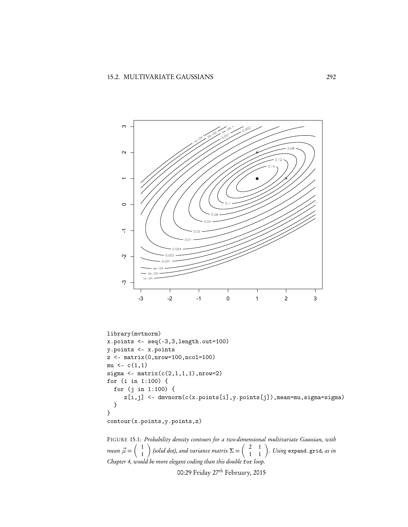

```
library(mvtnorm)
x.points <- seq(-3,3,length.out=100)
y.points <- x.points
z <- matrix(0,nrow=100,ncol=100)
mu \leftarrow c(1,1)sigma \leftarrow matrix(c(2,1,1,1),nrow=2)
for (i in 1:100) {
  for (j in 1:100) {
     z[i,j] <- dmvnorm(c(x.points[i],y.points[j]),mean=mu,sigma=sigma)
  }
}
```
contour(x.points,y.points,z)

FIGURE 15.1: *Probability density contours for a two-dimensional multivariate Gaussian, with mean*  $\vec{\mu} =$  $\begin{pmatrix} 1 \end{pmatrix}$ 1  $\bigg)$  (solid dot), and variance matrix  $\Sigma = \left( \begin{array}{cc} 2 & 1 \ 1 & 1 \end{array} \right)$ *. Using* expand.grid*, as in Chapter 4, would be more elegant coding than this double* for *loop.*

00:29 Friday 27th February, 2015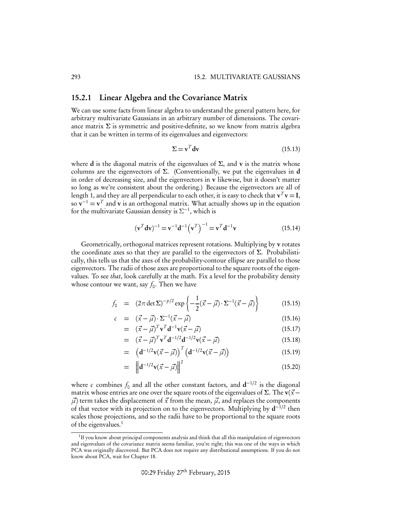#### 15.2.1 Linear Algebra and the Covariance Matrix

We can use some facts from linear algebra to understand the general pattern here, for arbitrary multivariate Gaussians in an arbitrary number of dimensions. The covariance matrix  $\Sigma$  is symmetric and positive-definite, so we know from matrix algebra that it can be written in terms of its eigenvalues and eigenvectors:

$$
\Sigma = \mathbf{v}^T \mathbf{dv} \tag{15.13}
$$

where d is the diagonal matrix of the eigenvalues of  $\Sigma$ , and v is the matrix whose columns are the eigenvectors of  $\Sigma$ . (Conventionally, we put the eigenvalues in d in order of decreasing size, and the eigenvectors in v likewise, but it doesn't matter so long as we're consistent about the ordering.) Because the eigenvectors are all of length 1, and they are all perpendicular to each other, it is easy to check that  $v^T v = I$ , so  $\mathbf{v}^{-1} = \mathbf{v}^T$  and  $\mathbf{v}$  is an orthogonal matrix. What actually shows up in the equation for the multivariate Gaussian density is  $\Sigma^{-1}$ , which is

$$
(\mathbf{v}^T \mathbf{dv})^{-1} = \mathbf{v}^{-1} \mathbf{d}^{-1} (\mathbf{v}^T)^{-1} = \mathbf{v}^T \mathbf{d}^{-1} \mathbf{v}
$$
 (15.14)

Geometrically, orthogonal matrices represent rotations. Multiplying by v rotates the coordinate axes so that they are parallel to the eigenvectors of  $\Sigma$ . Probabilistically, this tells us that the axes of the probability-contour ellipse are parallel to those eigenvectors. The radii of those axes are proportional to the square roots of the eigenvalues. To see *that*, look carefully at the math. Fix a level for the probability density whose contour we want, say  $f_0$ . Then we have

$$
f_0 = (2\pi \det \Sigma)^{-p/2} \exp\left\{-\frac{1}{2}(\vec{x} - \vec{\mu}) \cdot \Sigma^{-1}(\vec{x} - \vec{\mu})\right\}
$$
(15.15)

$$
c = (\vec{x} - \vec{\mu}) \cdot \Sigma^{-1} (\vec{x} - \vec{\mu}) \tag{15.16}
$$

$$
= (\vec{x} - \vec{\mu})^T \mathbf{v}^T \mathbf{d}^{-1} \mathbf{v} (\vec{x} - \vec{\mu}) \tag{15.17}
$$

$$
= (\vec{x} - \vec{\mu})^T \mathbf{v}^T \mathbf{d}^{-1/2} \mathbf{d}^{-1/2} \mathbf{v} (\vec{x} - \vec{\mu})
$$
 (15.18)

$$
= \left( \mathbf{d}^{-1/2} \mathbf{v}(\vec{x} - \vec{\mu}) \right)^T \left( \mathbf{d}^{-1/2} \mathbf{v}(\vec{x} - \vec{\mu}) \right) \tag{15.19}
$$

$$
= \left\| \mathbf{d}^{-1/2} \mathbf{v}(\vec{x} - \vec{\mu}) \right\|^2 \tag{15.20}
$$

where *c* combines  $f_0$  and all the other constant factors, and  $d^{-1/2}$  is the diagonal matrix whose entries are one over the square roots of the eigenvalues of  $\Sigma$ . The  $v(\vec{x}$  $\vec{\mu}$  term takes the displacement of  $\vec{x}$  from the mean,  $\vec{\mu}$ , and replaces the components of that vector with its projection on to the eigenvectors. Multiplying by  $d^{-1/2}$  then scales those projections, and so the radii have to be proportional to the square roots of the eigenvalues.<sup>1</sup>

 $1$ If you know about principal components analysis and think that all this manipulation of eigenvectors and eigenvalues of the covariance matrix seems familiar, you're right; this was one of the ways in which PCA was originally discovered. But PCA does not require any distributional assumptions. If you do not know about PCA, wait for Chapter 18.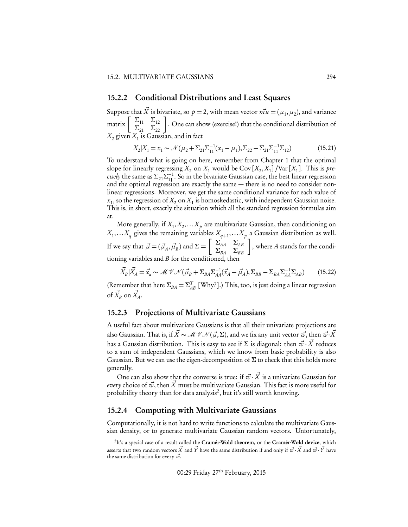#### 15.2.2 Conditional Distributions and Least Squares

Suppose that  $\vec{X}$  is bivariate, so  $p = 2$ , with mean vector  $\vec{m}u = (\mu_1, \mu_2)$ , and variance matrix  $\left[\begin{array}{cc} \Sigma_{11} & \Sigma_{12} \\ \Sigma_{21} & \Sigma_{22} \end{array}\right]$ . One can show (exercise!) that the conditional distribution of  $X_2$  given  $X_1$  is Gaussian, and in fact

$$
X_2|X_1 = x_1 \sim \mathcal{N}(\mu_2 + \Sigma_{21}\Sigma_{11}^{-1}(x_1 - \mu_1), \Sigma_{22} - \Sigma_{21}\Sigma_{11}^{-1}\Sigma_{12})
$$
(15.21)

To understand what is going on here, remember from Chapter 1 that the optimal slope for linearly regressing  $X_2$  on  $X_1$  would be Cov  $[X_2, X_1]$  /Var  $[X_1]$ . This is *precisely* the same as  $\Sigma_{21}\Sigma_{11}^{-1}$ . So in the bivariate Gaussian case, the best linear regression and the optimal regression are exactly the same — there is no need to consider nonlinear regressions. Moreover, we get the same conditional variance for each value of  $x_1$ , so the regression of  $X_2$  on  $X_1$  is homoskedastic, with independent Gaussian noise. This is, in short, exactly the situation which all the standard regression formulas aim at.

More generally, if  $X_1, X_2, \ldots X_p$  are multivariate Gaussian, then conditioning on  $X_1,...X_q$  gives the remaining variables  $X_{q+1},...X_p$  a Gaussian distribution as well. If we say that  $\vec{\mu} = (\vec{\mu}_A, \vec{\mu}_B)$  and  $\Sigma = \begin{bmatrix} \Sigma_{AA} & \Sigma_{AB} \\ \Sigma_{BA} & \Sigma_{BB} \end{bmatrix}$ , where *A* stands for the conditioning variables and  $B$  for the conditioned, then

$$
\vec{X}_B|\vec{X}_A = \vec{x}_a \sim \mathcal{M}\mathcal{V}\mathcal{N}(\vec{\mu}_B + \Sigma_{BA}\Sigma_{AA}^{-1}(\vec{x}_A - \vec{\mu}_A), \Sigma_{BB} - \Sigma_{BA}\Sigma_{AA}^{-1}\Sigma_{AB})
$$
(15.22)

(Remember that here  $\Sigma_{BA} = \Sigma_{AB}^T$  [Why?].) This, too, is just doing a linear regression of  $\vec{X}_B$  on  $\vec{X}_A$ .

#### 15.2.3 Projections of Multivariate Gaussians

A useful fact about multivariate Gaussians is that all their univariate projections are also Gaussian. That is, if  $\vec{X} \sim \mathcal{M} \mathcal{N}(\vec{\mu}, \Sigma)$ , and we fix any unit vector  $\vec{w}$ , then  $\vec{w} \cdot \vec{X}$ has a Gaussian distribution. This is easy to see if  $\Sigma$  is diagonal: then  $\vec{w} \cdot \vec{X}$  reduces to a sum of independent Gaussians, which we know from basic probability is also Gaussian. But we can use the eigen-decomposition of  $\Sigma$  to check that this holds more generally.

One can also show that the converse is true: if  $\vec{w} \cdot \vec{X}$  is a univariate Gaussian for *every* choice of  $\vec{w}$ , then  $\vec{X}$  must be multivariate Gaussian. This fact is more useful for probability theory than for data analysis<sup>2</sup>, but it's still worth knowing.

#### 15.2.4 Computing with Multivariate Gaussians

Computationally, it is not hard to write functions to calculate the multivariate Gaussian density, or to generate multivariate Gaussian random vectors. Unfortunately,

<sup>&</sup>lt;sup>2</sup>It's a special case of a result called the Cramér-Wold theorem, or the Cramér-Wold device, which asserts that two random vectors  $\vec{X}$  and  $\vec{Y}$  have the same distribution if and only if  $\vec{w} \cdot \vec{X}$  and  $\vec{w} \cdot \vec{Y}$  have the same distribution for every  $\vec{w}$ .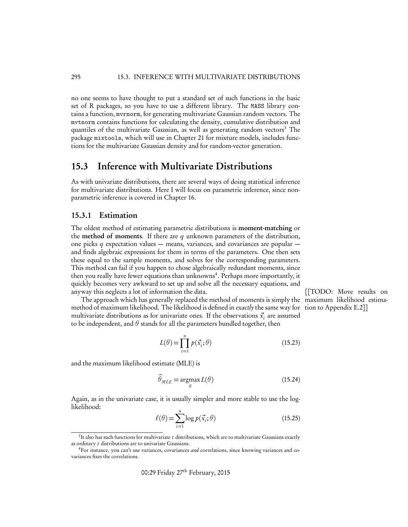no one seems to have thought to put a standard set of such functions in the basic set of R packages, so you have to use a different library. The MASS library contains a function, mvrnorm, for generating multivariate Gaussian random vectors. The mvtnorm contains functions for calculating the density, cumulative distribution and quantiles of the multivariate Gaussian, as well as generating random vectors<sup>3</sup> The package mixtools, which will use in Chapter 21 for mixture models, includes functions for the multivariate Gaussian density and for random-vector generation.

#### 15.3 Inference with Multivariate Distributions

As with univariate distributions, there are several ways of doing statistical inference for multivariate distributions. Here I will focus on parametric inference, since nonparametric inference is covered in Chapter 16.

#### 15.3.1 Estimation

The oldest method of estimating parametric distributions is moment-matching or the method of moments. If there are *q* unknown parameters of the distribution, one picks *q* expectation values — means, variances, and covariances are popular and finds algebraic expressions for them in terms of the parameters. One then sets these equal to the sample moments, and solves for the corresponding parameters. This method can fail if you happen to chose algebraically redundant moments, since then you really have fewer equations than unknowns<sup>4</sup>. Perhaps more importantly, it quickly becomes very awkward to set up and solve all the necessary equations, and anyway this neglects a lot of information the data. [[TODO: Move results on

The approach which has generally replaced the method of moments is simply the maximum likelihood estimamethod of maximum likelihood. The likelihood is defined in *exactly* the same way for tion to Appendix E.2]] multivariate distributions as for univariate ones. If the observations  $\vec{x}$ , are assumed to be independent, and  $\theta$  stands for all the parameters bundled together, then

$$
L(\theta) = \prod_{i=1}^{n} p(\vec{x}_i; \theta)
$$
\n(15.23)

and the maximum likelihood estimate (MLE) is

$$
\widehat{\theta}_{MLE} = \underset{\theta}{\operatorname{argmax}} L(\theta) \tag{15.24}
$$

Again, as in the univariate case, it is usually simpler and more stable to use the loglikelihood:

$$
\ell(\theta) = \sum_{i=1}^{n} \log p(\vec{x}_i; \theta)
$$
\n(15.25)

00:29 Friday 27<sup>th</sup> February, 2015

<sup>3</sup>It also has such functions for multivariate *t* distributions, which are to multivariate Gaussians exactly as ordinary *t* distributions are to univariate Gaussians.

<sup>4</sup>For instance, you can't use variances, covariances *and* correlations, since knowing variances and covariances fixes the correlations.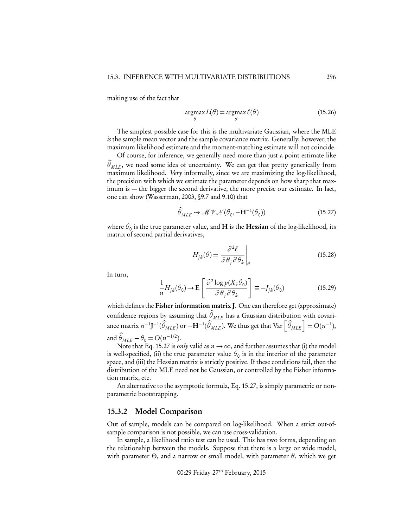making use of the fact that

$$
\underset{\theta}{\operatorname{argmax}} L(\theta) = \underset{\theta}{\operatorname{argmax}} \ell(\theta) \tag{15.26}
$$

The simplest possible case for this is the multivariate Gaussian, where the MLE *is* the sample mean vector and the sample covariance matrix. Generally, however, the maximum likelihood estimate and the moment-matching estimate will not coincide.

Of course, for inference, we generally need more than just a point estimate like  $\theta_{MLE}$ , we need some idea of uncertainty. We can get that pretty generically from maximum likelihood. *Very* informally, since we are maximizing the log-likelihood, the precision with which we estimate the parameter depends on how sharp that maximum is — the bigger the second derivative, the more precise our estimate. In fact, one can show (Wasserman, 2003, §9.7 and 9.10) that

$$
\widehat{\theta}_{MLE} \rightsquigarrow \mathcal{MVN}(\theta_0, -\mathbf{H}^{-1}(\theta_0))
$$
\n(15.27)

where  $\theta_0$  is the true parameter value, and **H** is the **Hessian** of the log-likelihood, its matrix of second partial derivatives,

$$
H_{jk}(\theta) = \left. \frac{\partial^2 \ell}{\partial \theta_j \partial \theta_k} \right|_{\theta} \tag{15.28}
$$

In turn,

$$
\frac{1}{n}H_{jk}(\theta_0) \to \mathbf{E}\left[\frac{\partial^2 \log p(X;\theta_0)}{\partial \theta_j \partial \theta_k}\right] \equiv -J_{jk}(\theta_0)
$$
\n(15.29)

which defines the Fisher information matrix J. One can therefore get (approximate) confidence regions by assuming that  $\theta_{MLE}$  has a Gaussian distribution with covariance matrix  $n^{-1}$ **J**<sup>-1</sup>( $\hat{\hat{\theta}}_{MLE}$ ) or  $-H^{-1}(\hat{\theta}_{MLE}^T)$ . We thus get that Var  $\left[\hat{\theta}_{MLE}\right] = O(n^{-1}),$ and  $\theta_{MLE} - \theta_0 = O(n^{-1/2}).$ 

Note that Eq. 15.27 is *only* valid as  $n \to \infty$ , and further assumes that (i) the model is well-specified, (ii) the true parameter value  $\theta_0$  is in the interior of the parameter space, and (iii) the Hessian matrix is strictly positive. If these conditions fail, then the distribution of the MLE need not be Gaussian, or controlled by the Fisher information matrix, etc.

An alternative to the asymptotic formula, Eq. 15.27, is simply parametric or nonparametric bootstrapping.

#### 15.3.2 Model Comparison

Out of sample, models can be compared on log-likelihood. When a strict out-ofsample comparison is not possible, we can use cross-validation.

In sample, a likelihood ratio test can be used. This has two forms, depending on the relationship between the models. Suppose that there is a large or wide model, with parameter  $\Theta$ , and a narrow or small model, with parameter  $\theta$ , which we get

00:29 Friday 27<sup>th</sup> February, 2015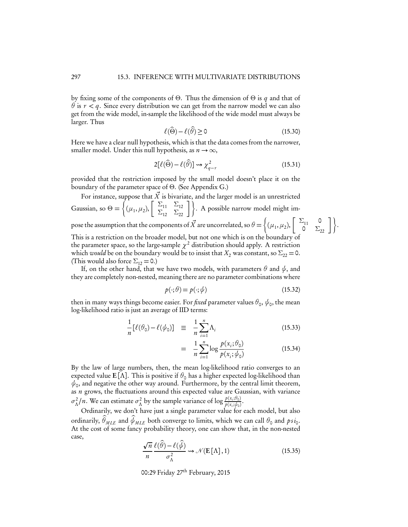by fixing some of the components of  $\Theta$ . Thus the dimension of  $\Theta$  is *q* and that of  $\theta$  is  $r < q$ . Since every distribution we can get from the narrow model we can also get from the wide model, in-sample the likelihood of the wide model must always be larger. Thus

$$
\ell(\widehat{\Theta}) - \ell(\widehat{\theta}) \ge 0 \tag{15.30}
$$

Here we have a clear null hypothesis, which is that the data comes from the narrower, smaller model. Under this null hypothesis, as  $n \to \infty$ ,

$$
2[\ell(\widehat{\Theta}) - \ell(\widehat{\theta})] \rightsquigarrow \chi^2_{q-r}
$$
\n(15.31)

provided that the restriction imposed by the small model doesn't place it on the boundary of the parameter space of  $\Theta$ . (See Appendix G.)

For instance, suppose that  $\vec{X}$  is bivariate, and the larger model is an unrestricted Gaussian, so  $\Theta =$  $\int$  $(\mu_1, \mu_2), \begin{bmatrix} \Sigma_{11} & \Sigma_{12} \\ \Sigma_{12} & \Sigma_{22} \end{bmatrix}$ . A possible narrow model might impose the assumption that the components of  $\vec{X}$  are uncorrelated, so  $\theta = \begin{cases} \end{cases}$ 

This is a restriction on the broader model, but not one which is on the boundary of

$$
(\mu_1, \mu_2), \left[\begin{array}{cc} \Sigma_{11} & 0 \\ 0 & \Sigma_{22} \end{array}\right] \bigg\}.
$$

the parameter space, so the large-sample  $\chi^2$  distribution should apply. A restriction which *would* be on the boundary would be to insist that  $X_2$  was constant, so  $\Sigma_{22} = 0$ . (This would also force  $\Sigma_{12} = 0.$ )

If, on the other hand, that we have two models, with parameters  $\theta$  and  $\psi$ , and they are completely non-nested, meaning there are no parameter combinations where

$$
p(\cdot; \theta) = p(\cdot; \phi) \tag{15.32}
$$

then in many ways things become easier. For *fixed* parameter values  $\theta_0$ ,  $\psi_0$ , the mean log-likelihood ratio is just an average of IID terms:

$$
\frac{1}{n} [\ell(\theta_0) - \ell(\psi_0)] \equiv \frac{1}{n} \sum_{i=1}^n \Lambda_i
$$
\n(15.33)

$$
= \frac{1}{n} \sum_{i=1}^{n} \log \frac{p(x_i; \theta_0)}{p(x_i; \psi_0)}
$$
(15.34)

By the law of large numbers, then, the mean log-likelihood ratio converges to an expected value **E**[ $\Lambda$ ]. This is positive if  $\theta_0$  has a higher expected log-likelihood than  $\psi_0$ , and negative the other way around. Furthermore, by the central limit theorem, as *n* grows, the fluctuations around this expected value are Gaussian, with variance  $\sigma_{\Lambda}^2/n$ . We can estimate  $\sigma_{\Lambda}^2$  by the sample variance of log  $\frac{p(x_i;\theta_0)}{p(x_i;\phi_0)}$ .

Ordinarily, we don't have just a single parameter value for each model, but also ordinarily,  $\theta_{MLE}$  and  $\phi_{MLE}$  both converge to limits, which we can call  $\theta_{\sf o}$  and  $psi_{\sf o}.$ At the cost of some fancy probability theory, one can show that, in the non-nested case,

$$
\frac{\sqrt{n}}{n} \frac{\ell(\widehat{\theta}) - \ell(\widehat{\psi})}{\sigma_{\Lambda}^2} \rightsquigarrow \mathcal{N}(\mathbf{E}[\Lambda], 1)
$$
\n(15.35)

00:29 Friday 27<sup>th</sup> February, 2015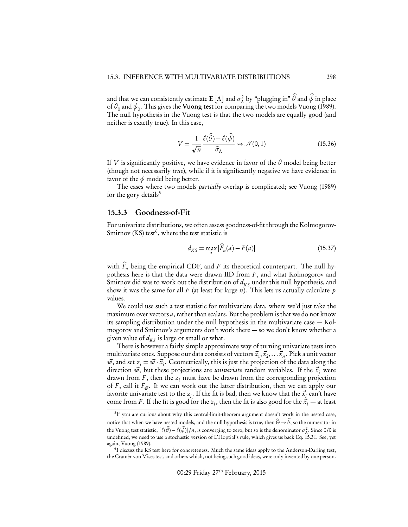and that we can consistently estimate  $E[\Lambda]$  and  $\sigma_{\Lambda}^2$  by "plugging in"  $\theta$  and  $\phi$  in place of  $\theta_0$  and  $\psi_0$ . This gives the **Vuong test** for comparing the two models Vuong (1989). The null hypothesis in the Vuong test is that the two models are equally good (and neither is exactly true). In this case,

$$
V = \frac{1}{\sqrt{n}} \frac{\ell(\hat{\theta}) - \ell(\hat{\psi})}{\hat{\sigma}_{\Lambda}} \rightsquigarrow \mathcal{N}(0, 1)
$$
 (15.36)

If *V* is significantly positive, we have evidence in favor of the  $\theta$  model being better (though not necessarily *true*), while if it is significantly negative we have evidence in favor of the  $\psi$  model being better.

The cases where two models *partially* overlap is complicated; see Vuong (1989) for the gory details<sup>5</sup>

#### 15.3.3 Goodness-of-Fit

For univariate distributions, we often assess goodness-of-fit through the Kolmogorov-Smirnov  $(KS)$  test<sup>6</sup>, where the test statistic is

$$
d_{KS} = \max_{a} |\widehat{F}_n(a) - F(a)| \tag{15.37}
$$

with  $F_n$  being the empirical CDF, and  $F$  its theoretical counterpart. The null hypothesis here is that the data were drawn IID from *F* , and what Kolmogorov and Smirnov did was to work out the distribution of  $d_{KS}$  under this null hypothesis, and show it was the same for all *F* (at least for large *n*). This lets us actually calculate *p* values.

We could use such a test statistic for multivariate data, where we'd just take the maximum over vectors *a*, rather than scalars. But the problem is that we do not know its sampling distribution under the null hypothesis in the multivariate case — Kolmogorov and Smirnov's arguments don't work there — so we don't know whether a given value of  $d_{KS}$  is large or small or what.

There is however a fairly simple approximate way of turning univariate tests into multivariate ones. Suppose our data consists of vectors  $\vec{x}_1, \vec{x}_2, \ldots, \vec{x}_n$ . Pick a unit vector  $\vec{w}$ , and set  $z_i = \vec{w} \cdot \vec{x_i}$ . Geometrically, this is just the projection of the data along the direction  $\vec{w}$ , but these projections are *univariate* random variables. If the  $\vec{x}$ , were drawn from *F* , then the *zi* must have be drawn from the corresponding projection of *F*, call it  $F_{\vec{w}}$ . If we can work out the latter distribution, then we can apply our favorite univariate test to the  $z_i$ . If the fit is bad, then we know that the  $\vec{x}_i$  can't have come from *F*. If the fit is good for the *z<sub>i</sub>*, then the fit is also good for the  $\vec{x}_i$  — at least

<sup>5</sup>If you are curious about why this central-limit-theorem argument doesn't work in the nested case, notice that when we have nested models, and the null hypothesis is true, then  $\Theta \to \theta$ , so the numerator in the Vuong test statistic,  $[\ell(\hat{\theta}) - \ell(\hat{\phi})]/n$ , is converging to zero, but so is the denominator  $\sigma_{\Lambda}^2$ . Since 0/0 is undefined, we need to use a stochastic version of L'Hoptial's rule, which gives us back Eq. 15.31. See, yet again, Vuong (1989).

<sup>6</sup>I discuss the KS test here for concreteness. Much the same ideas apply to the Anderson-Darling test, the Cramér-von Mises test, and others which, not being such good ideas, were only invented by one person.